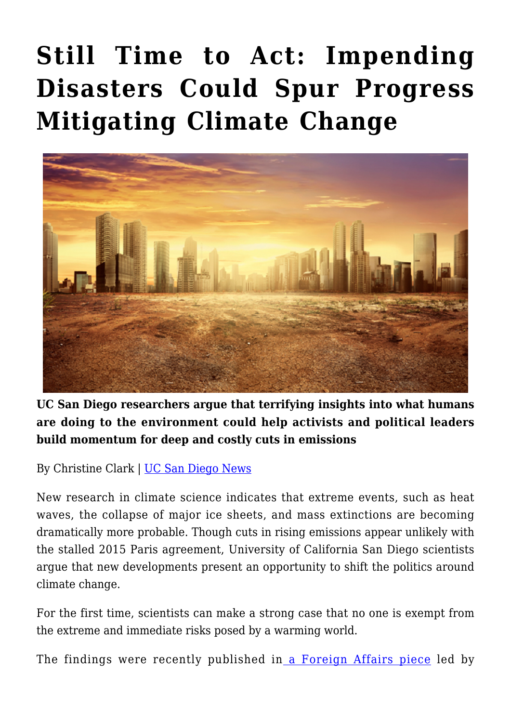## **[Still Time to Act: Impending](https://gpsnews.ucsd.edu/still-time-to-act-impending-disasters-could-spur-progress-mitigating-climate-change/) [Disasters Could Spur Progress](https://gpsnews.ucsd.edu/still-time-to-act-impending-disasters-could-spur-progress-mitigating-climate-change/) [Mitigating Climate Change](https://gpsnews.ucsd.edu/still-time-to-act-impending-disasters-could-spur-progress-mitigating-climate-change/)**



**UC San Diego researchers argue that terrifying insights into what humans are doing to the environment could help activists and political leaders build momentum for deep and costly cuts in emissions**

By Christine Clark | [UC San Diego News](https://ucsdnews.ucsd.edu/pressrelease/still_time_to_act_impending_weather_and_health_disasters_from_climate_change_could_spur_progress_in_cutting_emissions)

New research in climate science indicates that extreme events, such as heat waves, the collapse of major ice sheets, and mass extinctions are becoming dramatically more probable. Though cuts in rising emissions appear unlikely with the stalled 2015 Paris agreement, University of California San Diego scientists argue that new developments present an opportunity to shift the politics around climate change.

For the first time, scientists can make a strong case that no one is exempt from the extreme and immediate risks posed by a warming world.

The findings were recently published in [a Foreign Affairs piece](https://www.foreignaffairs.com/articles/2018-07-31/climate-extremes-and-global-health?cid=int-fls&pgtype=hpg) led by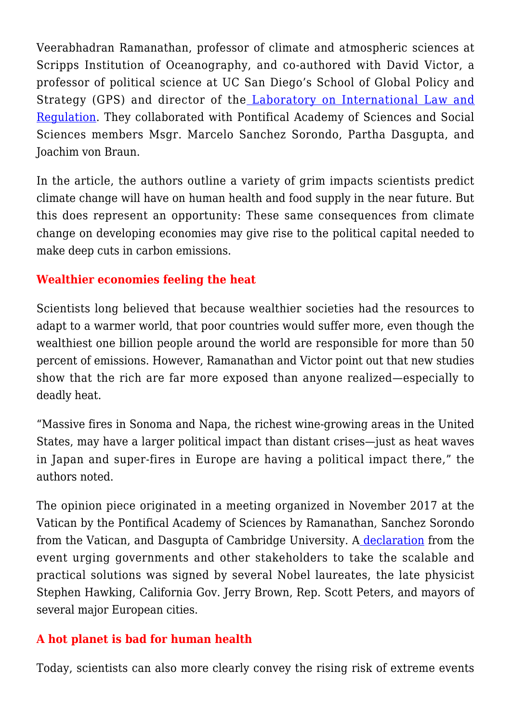Veerabhadran Ramanathan, professor of climate and atmospheric sciences at Scripps Institution of Oceanography, and co-authored with David Victor, a professor of political science at UC San Diego's School of Global Policy and Strategy (GPS) and director of the [Laboratory on International Law and](http://ilar.ucsd.edu) [Regulation](http://ilar.ucsd.edu). They collaborated with Pontifical Academy of Sciences and Social Sciences members Msgr. Marcelo Sanchez Sorondo, Partha Dasgupta, and Joachim von Braun.

In the article, the authors outline a variety of grim impacts scientists predict climate change will have on human health and food supply in the near future. But this does represent an opportunity: These same consequences from climate change on developing economies may give rise to the political capital needed to make deep cuts in carbon emissions.

## **Wealthier economies feeling the heat**

Scientists long believed that because wealthier societies had the resources to adapt to a warmer world, that poor countries would suffer more, even though the wealthiest one billion people around the world are responsible for more than 50 percent of emissions. However, Ramanathan and Victor point out that new studies show that the rich are far more exposed than anyone realized—especially to deadly heat.

"Massive fires in Sonoma and Napa, the richest wine-growing areas in the United States, may have a larger political impact than distant crises—just as heat waves in Japan and super-fires in Europe are having a political impact there," the authors noted.

The opinion piece originated in a meeting organized in November 2017 at the Vatican by the Pontifical Academy of Sciences by Ramanathan, Sanchez Sorondo from the Vatican, and Dasgupta of Cambridge University. [A declaration](http://www.pas.va/content/accademia/en/events/2017/health/declaration.html) from the event urging governments and other stakeholders to take the scalable and practical solutions was signed by several Nobel laureates, the late physicist Stephen Hawking, California Gov. Jerry Brown, Rep. Scott Peters, and mayors of several major European cities.

## **A hot planet is bad for human health**

Today, scientists can also more clearly convey the rising risk of extreme events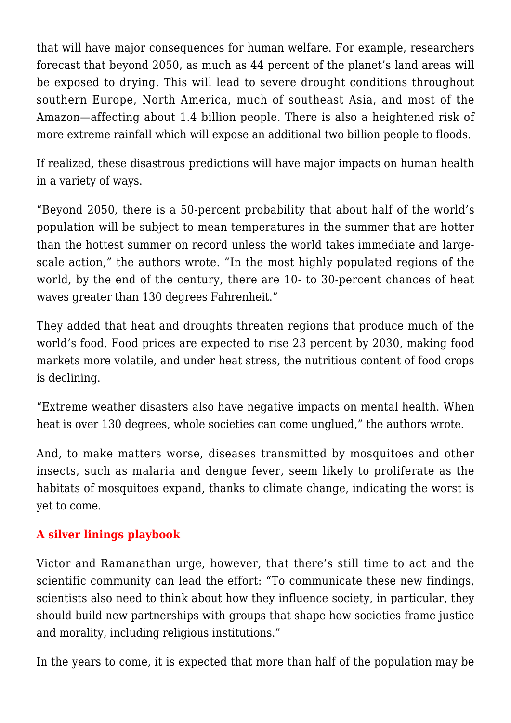that will have major consequences for human welfare. For example, researchers forecast that beyond 2050, as much as 44 percent of the planet's land areas will be exposed to drying. This will lead to severe drought conditions throughout southern Europe, North America, much of southeast Asia, and most of the Amazon—affecting about 1.4 billion people. There is also a heightened risk of more extreme rainfall which will expose an additional two billion people to floods.

If realized, these disastrous predictions will have major impacts on human health in a variety of ways.

"Beyond 2050, there is a 50-percent probability that about half of the world's population will be subject to mean temperatures in the summer that are hotter than the hottest summer on record unless the world takes immediate and largescale action," the authors wrote. "In the most highly populated regions of the world, by the end of the century, there are 10- to 30-percent chances of heat waves greater than 130 degrees Fahrenheit."

They added that heat and droughts threaten regions that produce much of the world's food. Food prices are expected to rise 23 percent by 2030, making food markets more volatile, and under heat stress, the nutritious content of food crops is declining.

"Extreme weather disasters also have negative impacts on mental health. When heat is over 130 degrees, whole societies can come unglued," the authors wrote.

And, to make matters worse, diseases transmitted by mosquitoes and other insects, such as malaria and dengue fever, seem likely to proliferate as the habitats of mosquitoes expand, thanks to climate change, indicating the worst is yet to come.

## **A silver linings playbook**

Victor and Ramanathan urge, however, that there's still time to act and the scientific community can lead the effort: "To communicate these new findings, scientists also need to think about how they influence society, in particular, they should build new partnerships with groups that shape how societies frame justice and morality, including religious institutions."

In the years to come, it is expected that more than half of the population may be